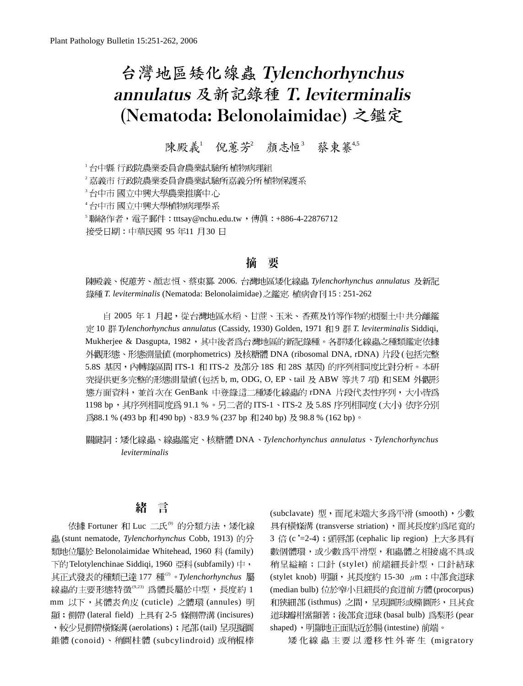# 台灣地區矮化線蟲 Tylenchorhynchus annulatus 及新記錄種 T. leviterminalis (Nematoda: Belonolaimidae)

## 陳殿義 倪蕙芳 顏志恒 蔡東纂45

'台中縣 行政院農業委員會農業試驗所 植物病理組

<sup>2</sup> 嘉義市 行政院農業委員會農業試驗所嘉義分所 植物保護系

各中市 國立中興大學農業推廣中心

4台中市國立中興大學植物病理學系

<sup>5</sup>聯絡作者,電子郵件:tttsay@nchu.edu.tw,傳眞:+886-4-22876712

接受日期:中華民國 95年11月30日

#### 要 摘

陳殿義、倪蕙芳、顏志恒、蔡束纂. 2006. 台灣地區矮化線蟲 Tylenchorhynchus annulatus 及新記 錄種 T. leviterminalis (Nematoda: Belonolaimidae) 之鑑定. 植病會刊15:251-262

自 2005 年 1 月起,從台灣地區水稻、甘蔗、玉米、香蕉及竹等作物的根圈土中共分離鑑 10 *Tylenchorhynchus annulatus* (Cassidy, 1930) Golden, 1971 9 *T. leviterminalis* Siddiqi, Mukherjee & Dasgupta, 1982,其中後者為台灣地區的新記錄種。各群矮化線蟲之種類鑑定依據 外觀形態、形態測量値 (morphometrics) 及核糖體 DNA (ribosomal DNA, rDNA) 片段 (包括完整 5.8S 基因,内轉錄區間 ITS-1 和 ITS-2 及部分 18S 和 28S 基因) 的序列相同度比對分析。本研 究提供更多完整的形態測量値(包括 b, m, ODG, O, EP、tail 及 ABW 等共 7 項) 和 SEM 外觀形 熊方面資料,並首次在 GenBank 中登錄這二種矮化線蟲的 rDNA 片段代表性序列,大小皆為 1198 bp,其序列相同度爲 91.1 % 。另二者的 ITS-1、ITS-2 及 5.8S 序列相同度 (大小) 依序分別 為88.1 % (493 bp 和 490 bp) 、83.9 % (237 bp 和 240 bp) 及 98.8 % (162 bp)。

DNA *Tylenchorhynchus annulatus Tylenchorhynchus leviterminalis*

## 緖言

依據 Fortuner 和 Luc 二氏<sup>®</sup> 的分類方法,矮化線 (stunt nematode, *Tylenchorhynchus* Cobb, 1913) 類地位屬於 Belonolaimidae Whitehead, 1960 科 (family) 下的 Telotylenchinae Siddiqi, 1960 亞科 (subfamily) 中, 177 (2) *Tylenchorhynchus* 線蟲的主要形態特徵(9,23)為體長屬於中型,長度約1 mm 以下,其體表角皮 (cuticle) 之體環 (annules) 明 顯; 側帶 (lateral field) 上具有 2-5 條側帶溝 (incisures) , 較少見側帶橫條溝 (aerolations) ; 尾部 (tail) 呈現擬圓 錐體(conoid)、稍圓柱體(subcylindroid) 或稍棍棒 (subclavate) 型, 而尾末端大多為平滑 (smooth), 少數 具有橫條溝 (transverse striation), 而其長度約為尾寬的 3 倍 (c'=2-4) ; 頭唇部 (cephalic lip region) 上大多具有 數個體環,或少數為平滑型,和蟲體之相接處不具或 稍呈縊縮;口針 (stylet) 前端細長針型,口針結球 (stylet knob) 明顯, 其長度約 15-30 μm; 中部食道球 (median bulb) 位於窄小且細長的食道前方體(procorpus) 和狹細部 (isthmus) 之間,呈現圓形或橢圓形,且其食 道球瓣相當顯著;後部食道球 (basal bulb) 為梨形 (pear shaped),明顯地正面貼近於腸(intestine)前端。

矮化線蟲主要以遷移性外寄生 (migratory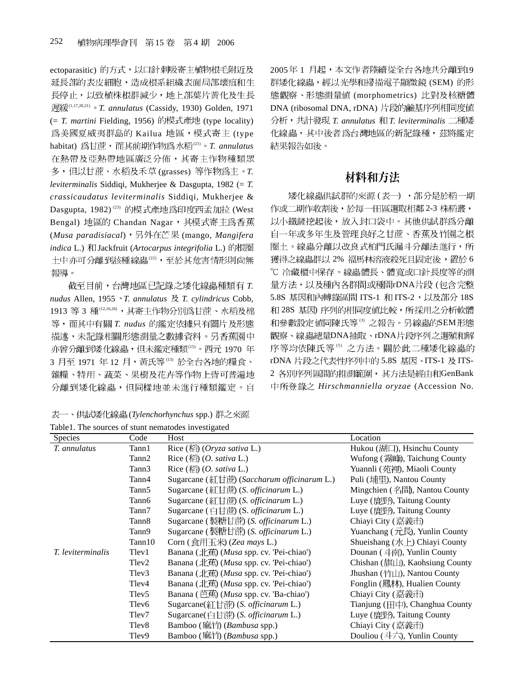ectoparasitic) 的方式,以口針刺吸寄主植物根毛附近及 延長部的表皮細胞,造成根系組織表面局部壞疽和生 長停止,以致植株根群減少,地上部葉片黃化及生長 (1,17,20,21) *T. annulatus* (Cassidy, 1930) Golden, 1971 (= T. martini Fielding, 1956) 的模式產地 (type locality) 為美國夏威夷群島的 Kailua 地區,模式寄主 (type habitat) 為甘蔗, 而其前期作物為水稻(21)。T. annulatus 在熱帶及亞熱帶地區廣泛分佈,其寄主作物種類眾 多,但以甘蔗、水稻及禾草(grasses) 等作物為主。T. *leviterminalis* Siddiqi, Mukherjee & Dasgupta, 1982 (= *T. crassicaudatus leviterminalis* Siddiqi, Mukherjee & Dasgupta, 1982)<sup>(23)</sup> 的模式產地為印度西孟加拉 (West Bengal) 地區的 Chandan Nagar, 其模式寄主為香蕉 (*Musa paradisiacal*), 另外在芒果 (mango, *Mangifera indica* L.) 和 Jackfruit (*Artocarpus integrifolia* L.) 的根圈 土中亦可分離到該種線蟲(22),至於其危害情形則尙無 報導。

截至目前, 台灣地區已記錄之矮化線蟲種類有 T. *nudus* Allen, 1955 *T. annulatus T. cylindricus* Cobb, 1913 等 3 種(12,16,26), 其寄主作物分別為甘蔗、水稻及棉 等, 而其中有關 T. nudus 的鑑定依據只有圖片及形態 描述,未記錄相關形態測量之數據資料。另香蕉園中 亦曾分離到矮化線蟲,但未鑑定種類(15)。西元 1970 年 3月至1971年12月,黄氏等(13)於全台各地的糧食、 雜糧、特用、蔬菜、果樹及花卉等作物上皆可普遍地 分離到矮化線蟲,但同樣地並未進行種類鑑定。自

表一、供試矮化線蟲(*Tylenchorhynchus* spp.) 群之來源 Table1. The sources of stunt nematodes investigated

2005年1月起,本文作者陸續從全台各地共分離到19 群矮化線蟲,經以光學和掃描電子顯微鏡(SEM)的形 態觀察、形態測量値 (morphometrics) 比對及核糖體 DNA (ribosomal DNA, rDNA) 片段的鹼基序列相同度值 分析, 共計發現 T. annulatus 和 T. leviterminalis 二種矮 化線蟲,其中後者為台灣地區的新記錄種,茲將鑑定 結果報告如後。

## 材料和方法

矮化線蟲供試群的來源(表一),部分是於稻一期 作或二期作收割後,於每一田區選取相鄰 2-3 株稻叢, 以小鐵鏟挖起後,放入封口袋中。其他供試群為分離 自一年或多年生及管理良好之甘蔗、香蕉及竹園之根 圈土。線蟲分離以改良式柏門氏漏斗分離法進行,所 獲得之線蟲群以 2%福馬林溶液殺死且固定後,置於6 ℃ 冷藏櫃中保存。線蟲體長、體寬或口針長度等的測 量方法,以及種內各群間或種間rDNA片段(包含完整 5.8S 基因和內轉錄區間 ITS-1 和 ITS-2,以及部分 18S 和 28S 基因) 序列的相同度值比較,所採用之分析軟體 和參數設定值同陳氏等<sup>6</sup> 之報告。另線蟲的SEM形態 觀察、線蟲總量DNA抽取、rDNA片段序列之選殖和解 序等均依陳氏等6 之方法。關於此二種矮化線蟲的 rDNA 片段之代表性序列中的 5.8S 基因、ITS-1 及 ITS-2 各別序列區間的推測範圍, 其方法是經由和GenBank *Hirschmanniella oryzae* (Accession No.

| Species           | Code              | of stant homatodos in resugated<br>Host                | Location                                        |
|-------------------|-------------------|--------------------------------------------------------|-------------------------------------------------|
| T. annulatus      | Tann1             | Rice $(\text{K2})$ (Oryza sativa L.)                   | Hukou (湖口), Hsinchu County                      |
|                   | Tann2             | Rice $(\widehat{k}\widehat{a})$ (O. sativa L.)         | Wufong (霧峰), Taichung County                    |
|                   | Tann3             | Rice $(\stackrel{\frown}{k\rightarrow} (O. sativa L.)$ | Yuannli (苑裡), Miaoli County                     |
|                   | Tann4             | Sugarcane (紅甘蔗) (Saccharum officinarum L.)             | Puli (埔里), Nantou County                        |
|                   | Tann5             | Sugarcane (紅甘蔗) (S. officinarum L.)                    | Mingchien (名間), Nantou County                   |
|                   | Tann6             | Sugarcane (紅甘蔗) (S. <i>officinarum</i> L.)             | Luye (鹿野), Taitung County                       |
|                   | Tann7             | Sugarcane (白甘蔗) (S. <i>officinarum</i> L.)             | Luye (鹿野), Taitung County                       |
|                   | Tann <sub>8</sub> | Sugarcane (製糖甘蔗) (S. <i>officinarum</i> L.)            | Chiayi City (嘉義市)                               |
|                   | Tann9             | Sugarcane (製糖甘蔗) (S. <i>officinarum</i> L.)            | Yuanchang $(\vec{\pi},\vec{E})$ , Yunlin County |
|                   | Tann10            | Corn (食用玉米) (Zea mays L.)                              | Shueishang (水上) Chiayi County                   |
| T. leviterminalis | Tlev1             | Banana (北蕉) (Musa spp. cv. 'Pei-chiao')                | Dounan (斗南), Yunlin County                      |
|                   | Tlev <sub>2</sub> | Banana (北蕉) (Musa spp. cv. 'Pei-chiao')                | Chishan (旗山), Kaohsiung County                  |
|                   | Tlev3             | Banana (北蕉) (Musa spp. cv. 'Pei-chiao')                | Jhushan (竹山), Nantou County                     |
|                   | Tlev4             | Banana (北蕉) (Musa spp. cv. 'Pei-chiao')                | Fonglin (鳳林), Hualien County                    |
|                   | Tlev <sub>5</sub> | Banana (芭蕉) (Musa spp. cv. 'Ba-chiao')                 | Chiayi City (嘉義市)                               |
|                   | Tlev <sub>6</sub> | Sugarcane(紅甘蔗) (S. officinarum L.)                     | Tianjung (田中), Changhua County                  |
|                   | Tlev7             | Sugarcane(白甘蔗) (S. officinarum L.)                     | Luye (鹿野), Taitung County                       |
|                   | Tlev <sub>8</sub> | Bamboo (麻竹) (Bambusa spp.)                             | Chiayi City (嘉義市)                               |
|                   | Tlev9             | Bamboo (麻竹) (Bambusa spp.)                             | Douliou $(\pm \pm \pm)$ , Yunlin County         |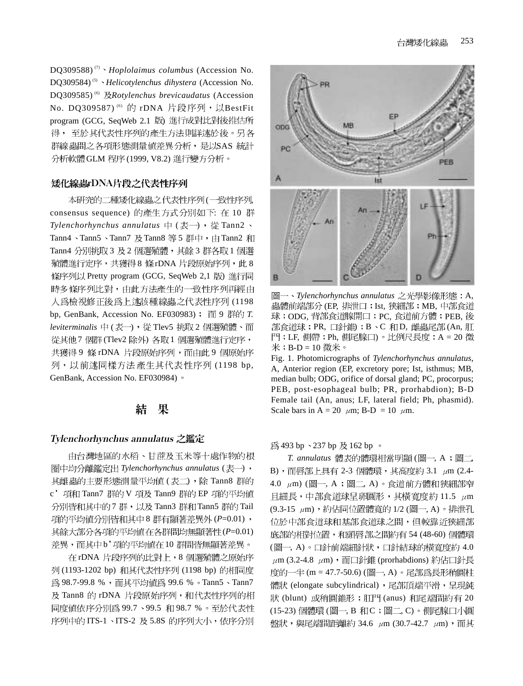DQ309588) (7) *Hoplolaimus columbus* (Accession No. DQ309584) (5) *Helicotylenchus dihystera* (Accession No. DQ309585) (6) *Rotylenchus brevicaudatus* (Accession No. DQ309587)<sup>(6)</sup> 的 rDNA 片段序列,以BestFit program (GCG, SeqWeb 2.1 版) 進行成對比對後推估所 得, 至於其代表性序列的產生方法則詳述於後。另各 群線蟲間之各項形態測量値差異分析,是以SAS統計 分析軟體 GLM 程序 (1999, V8.2) 進行變方分析。

### 矮化線蟲rDNA片段之代表性序列

本研究的二種矮化線蟲之代表性序列(一致性序列, consensus sequence) 的產生方式分別如下: 在 10 群 *Tylenchorhynchus annulatus* 中 (表一), 從 Tann2、 Tann4、Tann5、Tann7 及 Tann8 等5 群中,由 Tann2 和 Tann4 分別挑取3 及2 個選殖體, 其餘3 群各取1 個選 殖體進行定序,共獲得8條rDNA 片段原始序列,此8 條序列以 Pretty program (GCG, SeqWeb 2,1 版) 進行同 時多條序列比對,由此方法產生的一致性序列再經由 人為檢視修正後爲上述該種線蟲之代表性序列(1198 bp, GenBank, Accession No. EF030983); 而 9 群的 T. leviterminalis 中(表一), 從 Tlev5 挑取 2 個選殖體、而 從其他7個群(Tlev2除外)各取1個選殖體進行定序, 共獲得9 條 rDNA 片段原始序列,而由此9個原始序 列,以前述同樣方法產生其代表性序列(1198 bp, GenBank, Accession No. EF030984) 。

#### 果 結

#### Tylenchorhynchus annulatus

由台灣地區的水稻、甘蔗及玉米等十處作物的根 图中均分離鑑定出 Tylenchorhynchus annulatus (表一), 其雌蟲的主要形態測量平均値 (表二), 除 Tann8 群的 c' 項和 Tann7 群的 V 項及 Tann9 群的 EP 項的平均値 分別皆和其中的7群,以及 Tann3 群和 Tann5 群的 Tail 項的平均值分別皆和其中8群有顯著差異外 (P=0.01), (*P*=0.01) 差異,而其中b'項的平均値在10群間皆無顯著差異。

在 rDNA 片段序列的比對上,8個選殖體之原始序 列(1193-1202 bp) 和其代表性序列 (1198 bp) 的相同度 為 98.7-99.8 %, 而其平均值為 99.6 %。Tann5、Tann7 及 Tann8 的 rDNA 片段原始序列, 和代表性序列的相 同度值依序分別為 99.7、99.5 和 98.7 %。至於代表性 序列中的 ITS-1、ITS-2 及 5.8S 的序列大小,依序分別



圖→ *Tylenchorhynchus annulatus* 之光學影像形態: A, 蟲體前端部分(EP, 排泄口;Ist, 狹細部;MB, 中部食道 球;ODG,背部食道腺開口;PC,食道前方體;PEB,後 部食道球; PR, 口針錐; B、C 和 D, 雌蟲尾部(An, 肛 門; LF, 側帶; Ph, 側尾腺口)。比例尺長度: A = 20 微  $\mathcal{H}$ ; B-D = 10 微米。

Fig. 1. Photomicrographs of *Tylenchorhynchus annulatus*, A, Anterior region (EP, excretory pore; Ist, isthmus; MB, median bulb; ODG, orifice of dorsal gland; PC, procorpus; PEB, post-esophageal bulb; PR, prorhabdion); B-D Female tail (An, anus; LF, lateral field; Ph, phasmid). Scale bars in A = 20  $\mu$ m; B-D = 10  $\mu$ m.

為493 bp、237 bp 及162 bp。

T. annulatus 體表的體環相當明顯 (圖一, A;圖二, B), 而唇部上具有 2-3 個體環, 其高度約 3.1 μm (2.4-4.0  $\mu$ m) (圖一, A;圖二, A)。食道前方體和狹細部窄 且細長,中部食道球呈卵圓形,其橫寬度約11.5 μm (9.3-15 μm), 約佔同位置體寬的 1/2 (圖一, A)。排泄孔 位於中部食道球和基部食道球之間,但較靠近狹細部 底部的相對位置,和頭唇部之間約有54 (48-60)個體環 (圖一, A)。口針前端細針狀,口針結球的橫寬度約 4.0  $\mu$ m (3.2-4.8  $\mu$ m), 而口針錐 (prorhabdions) 約佔口針長 度的一半 (m = 47.7-50.6) (圖一, A)。尾部為長形稍圓柱 體狀 (elongate subcylindrical), 尾部頂端平滑, 呈現鈍 狀 (blunt) 或稍圓錐形; 肛門 (anus) 和尾端間約有 20 (15-23) 個體環 (圖一, B 和 C ; 圖二, C) 。側尾腺口小圓 盤狀,與尾端間距離約 34.6 μm (30.7-42.7 μm),而其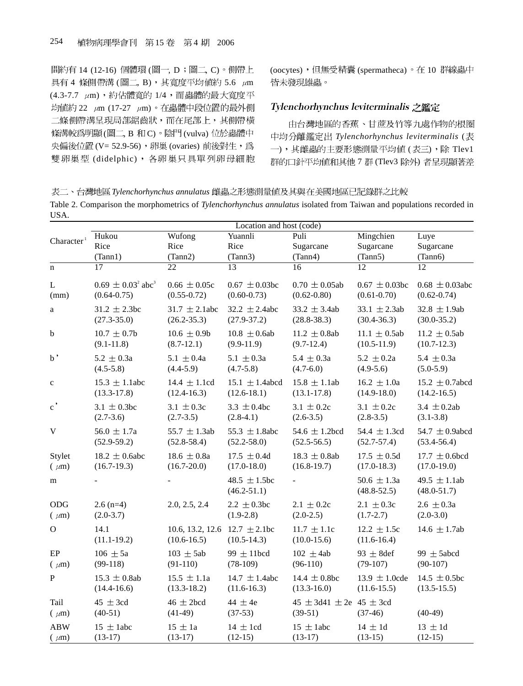間約有 14 (12-16) 個體環 (圖一, D;圖二, C)。側帶上 具有 4 條側帶溝 (圖二, B), 其寬度平均値約 5.6  $\mu$ m  $(4.3 - 7.7 \mu m)$ , 約佔體寬的  $1/4$ , 而蟲體的最大寬度平 均值約 22 μm (17-27 μm)。在蟲體中段位置的最外側 二條側帶溝呈現局部鋸齒狀,而在尾部上,其側帶橫 條溝較爲明顯(圖二, B 和 C)。陰門(vulva) 位於蟲體中 央偏後位置 (V= 52.9-56), 卵巢 (ovaries) 前後對生, 為 雙卵巢型 (didelphic), 各卵巢只具單列卵母細胞 (oocytes),但無受精囊(spermatheca)。在 10 群線蟲中 皆未發現雄蟲。

### Tylenchorhynchus leviterminalis

由台灣地區的香蕉、甘蔗及竹等九處作物的根圈 *Tylenchorhynchus leviterminalis* ( 一), 其雌蟲的主要形態測量平均值(表三), 除 Tlev1 群的口針平均值和其他 7 群 (Tlev3 除外) 者呈現顯著差

表二、台灣地區 Tylenchorhynchus annulatus 雌蟲之形態測量値及其與在美國地區已記錄群之比較 Table 2. Comparison the morphometrics of *Tylenchorhynchus annulatus* isolated from Taiwan and populations recorded in

| USA.                   |                                    |                                                       |                                     |                                                |                                    |                                     |
|------------------------|------------------------------------|-------------------------------------------------------|-------------------------------------|------------------------------------------------|------------------------------------|-------------------------------------|
|                        |                                    |                                                       | Location and host (code)            |                                                |                                    |                                     |
| Character <sup>1</sup> | Hukou                              | Wufong                                                | Yuannli                             | Puli                                           | Mingchien                          | Luye                                |
|                        | Rice                               | Rice                                                  | Rice                                | Sugarcane                                      | Sugarcane                          | Sugarcane                           |
|                        | (Tann1)                            | (Tann2)                                               | (Tann3)                             | (Tann4)                                        | (Tann5)                            | (Tann6)                             |
| $\mathbf n$            | 17                                 | $\overline{22}$                                       | 13                                  | 16                                             | 12                                 | 12                                  |
| L                      | $0.69 \pm 0.03^2$ abc <sup>3</sup> | $0.66 \pm 0.05c$                                      | $0.67 \pm 0.03$ bc                  | $0.70 \pm 0.05$ ab                             | $0.67 \pm 0.03$ bc                 | $0.68 \pm 0.03$ abc                 |
| (mm)                   | $(0.64 - 0.75)$                    | $(0.55 - 0.72)$                                       | $(0.60 - 0.73)$                     | $(0.62 - 0.80)$                                | $(0.61 - 0.70)$                    | $(0.62 - 0.74)$                     |
| a                      | $31.2 \pm 2.3$ bc                  | $31.7 \pm 2.1$ abc                                    | $32.2 \pm 2.4$ abc                  | $33.2 \pm 3.4ab$                               | 33.1 $\pm$ 2.3ab                   | $32.8 \pm 1.9ab$                    |
|                        | $(27.3 - 35.0)$                    | $(26.2 - 35.3)$                                       | $(27.9 - 37.2)$                     | $(28.8 - 38.3)$                                | $(30.4 - 36.3)$                    | $(30.0 - 35.2)$                     |
| b                      | $10.7 \pm 0.7$                     | $10.6 \pm 0.9$                                        | $10.8 \pm 0.6$ ab                   | 11.2 $\pm$ 0.8ab                               | 11.1 $\pm$ 0.5ab                   | $11.2 \pm 0.5$ ab                   |
|                        | $(9.1 - 11.8)$                     | $(8.7-12.1)$                                          | $(9.9-11.9)$                        | $(9.7-12.4)$                                   | $(10.5-11.9)$                      | $(10.7-12.3)$                       |
| $_{\rm b}$ ,           | $5.2 \pm 0.3a$                     | 5.1 $\pm$ 0.4a                                        | 5.1 $\pm$ 0.3a                      | $5.4 \pm 0.3a$                                 | 5.2 $\pm$ 0.2a                     | 5.4 $\pm$ 0.3a                      |
|                        | $(4.5 - 5.8)$                      | $(4.4 - 5.9)$                                         | $(4.7 - 5.8)$                       | $(4.7-6.0)$                                    | $(4.9-5.6)$                        | $(5.0-5.9)$                         |
| $\mathbf c$            | $15.3 \pm 1.1$ abc                 | 14.4 $\pm$ 1.1cd                                      | 15.1 $\pm$ 1.4abcd                  | $15.8 \pm 1.1$ ab                              | $16.2 \pm 1.0a$                    | 15.2 $\pm$ 0.7abcd                  |
|                        | $(13.3-17.8)$                      | $(12.4 - 16.3)$                                       | $(12.6 - 18.1)$                     | $(13.1 - 17.8)$                                | $(14.9 - 18.0)$                    | $(14.2 - 16.5)$                     |
| $\mathbf{c}^{\prime}$  | 3.1 $\pm$ 0.3bc                    | 3.1 $\pm$ 0.3c                                        | 3.3 $\pm$ 0.4bc                     | 3.1 $\pm$ 0.2c                                 | 3.1 $\pm$ 0.2c                     | 3.4 $\pm$ 0.2ab                     |
|                        | $(2.7-3.6)$                        | $(2.7-3.5)$                                           | $(2.8-4.1)$                         | $(2.6 - 3.5)$                                  | $(2.8-3.5)$                        | $(3.1 - 3.8)$                       |
| $\mathbf V$            | $56.0 \pm 1.7a$                    | 55.7 $\pm$ 1.3ab                                      | 55.3 $\pm$ 1.8abc                   | 54.6 $\pm$ 1.2bcd                              | 54.4 $\pm$ 1.3cd                   | 54.7 $\pm$ 0.9abcd                  |
|                        | $(52.9 - 59.2)$                    | $(52.8 - 58.4)$                                       | $(52.2 - 58.0)$                     | $(52.5 - 56.5)$                                | $(52.7 - 57.4)$                    | $(53.4 - 56.4)$                     |
| Stylet                 | $18.2 \pm 0.6$ abc                 | 18.6 $\pm$ 0.8a                                       | $17.5 \pm 0.4d$                     | $18.3 \pm 0.8$ ab                              | $17.5 \pm 0.5d$                    | $17.7 \pm 0.6$ bcd                  |
| $(\mu m)$              | $(16.7-19.3)$                      | $(16.7 - 20.0)$                                       | $(17.0 - 18.0)$                     | $(16.8 - 19.7)$                                | $(17.0 - 18.3)$                    | $(17.0 - 19.0)$                     |
| m                      |                                    |                                                       | 48.5 $\pm$ 1.5bc<br>$(46.2 - 51.1)$ | $\blacksquare$                                 | 50.6 $\pm$ 1.3a<br>$(48.8 - 52.5)$ | 49.5 $\pm$ 1.1ab<br>$(48.0 - 51.7)$ |
| ODG                    | $2.6$ (n=4)                        | 2.0, 2.5, 2.4                                         | $2.2 \pm 0.3$ bc                    | $2.1 \pm 0.2c$                                 | $2.1 \pm 0.3c$                     | $2.6 \pm 0.3a$                      |
| $(\mu m)$              | $(2.0-3.7)$                        |                                                       | $(1.9-2.8)$                         | $(2.0-2.5)$                                    | $(1.7 - 2.7)$                      | $(2.0-3.0)$                         |
| $\Omega$               | 14.1<br>$(11.1-19.2)$              | 10.6, 13.2, 12.6 $12.7 \pm 2.1$ bc<br>$(10.6 - 16.5)$ | $(10.5-14.3)$                       | $11.7 \pm 1.1c$<br>$(10.0-15.6)$               | $12.2 \pm 1.5c$<br>$(11.6-16.4)$   | 14.6 $\pm$ 1.7ab                    |
| EP                     | $106 \pm 5a$                       | $103 \pm 5ab$                                         | 99 $\pm$ 11bcd                      | $102 \pm 4ab$                                  | 93 $\pm$ 8 def                     | 99 $\pm$ 5abcd                      |
| $(\mu m)$              | $(99-118)$                         | $(91-110)$                                            | $(78-109)$                          | $(96-110)$                                     | $(79-107)$                         | $(90-107)$                          |
| $\mathbf{P}$           | $15.3 \pm 0.8$ ab                  | $15.5 \pm 1.1a$                                       | 14.7 $\pm$ 1.4abc                   | 14.4 $\pm$ 0.8bc                               | 13.9 $\pm$ 1.0cde                  | 14.5 $\pm$ 0.5bc                    |
|                        | $(14.4 - 16.6)$                    | $(13.3-18.2)$                                         | $(11.6-16.3)$                       | $(13.3 - 16.0)$                                | $(11.6 - 15.5)$                    | $(13.5 - 15.5)$                     |
| Tail<br>$(\mu m)$      | $45 \pm 3cd$<br>$(40-51)$          | $46 \pm 2$ bcd<br>$(41-49)$                           | 44 $\pm$ 4e<br>$(37-53)$            | $45 \pm 3d41 \pm 2e$ 45 $\pm 3cd$<br>$(39-51)$ | $(37-46)$                          | $(40-49)$                           |
| <b>ABW</b>             | $15 \pm 1$ abc                     | $15 \pm 1a$                                           | $14 \pm 1$ cd                       | $15 \pm 1$ abc                                 | $14 \pm 1d$                        | $13 \pm 1d$                         |
| $(\mu m)$              | $(13-17)$                          | $(13-17)$                                             | $(12-15)$                           | $(13-17)$                                      | $(13-15)$                          | $(12-15)$                           |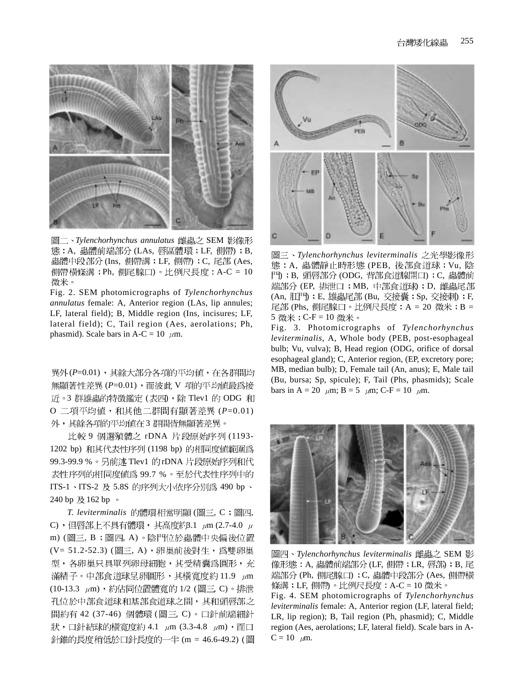

圖二、Tylenchorhynchus annulatus 雌蟲之 SEM 影像形 態: A, 蟲體前端部分 (LAs, 唇區體環; LF, 側帶); B, 蟲體中段部分 (Ins, 側帶溝;LF, 側帶);C, 尾部 (Aes, 側帶橫條溝;Ph, 側尾腺口)。比例尺長度:A-C = 10 微米。

Fig. 2. SEM photomicrographs of *Tylenchorhynchus annulatus* female: A, Anterior region (LAs, lip annules; LF, lateral field); B, Middle region (Ins, incisures; LF, lateral field); C, Tail region (Aes, aerolations; Ph, phasmid). Scale bars in A-C = 10  $\mu$ m.

異外(P=0.01), 其餘大部分各項的平均值, 在各群間均 無顯著性差異(P=0.01),而彼此 V 項的平均値最為接 近。3 群雄蟲的特徵鑑定 (表四), 除 Tlev1 的 ODG 和 O 二項平均値, 和其他二群間有顯著差異 (P=0.01) 外,其餘各項的平均值在3群間皆無顯著差異。

比較 9 個選殖體之 rDNA 片段原始序列 (1193-1202 bp) 和其代表性序列 (1198 bp) 的相同度值範圍為 99.3-99.9 %。另前述 Tlev1 的rDNA 片段原始序列和代 表性序列的相同度值為 99.7 %。至於代表性序列中的 ITS-1、ITS-2 及 5.8S 的序列大小依序分別為 490 bp、 240 bp 及 162 bp 。

T. leviterminalis 的體環相當明顯 (圖三, C;圖四, C),但唇部上不具有體環, 其高度約3.1  $\mu$ m (2.7-4.0  $\mu$ m) (圖三, B;圖四, A)。陰門位於蟲體中央偏後位置 (V= 51.2-52.3) (圖三, A), 卵巢前後對生, 為雙卵巢 型,各卵巢只具單列卵母細胞,其受精囊為圓形,充 滿精子。中部食道球呈卵圓形,其橫寬度約11.9 µm (10-13.3 μm), 約佔同位置體寬的 1/2 (圖三, C)。排泄 孔位於中部食道球和基部食道球之間,其和頭唇部之 間約有 42 (37-46) 個體環 (圖三, C)。口針前端細針 狀, 口針結球的橫寬度約 4.1 μm (3.3-4.8 μm), 而口 針錐的長度稍低於口針長度的一半 (m = 46.6-49.2) (圖



*Tylenchorhynchus leviterminalis* 態: A, 蟲體靜止時形態 (PEB, 後部食道球; Vu, 陰 門); B, 頭唇部分 (ODG, 背部食道腺開口); C, 蟲體前 端部分 (EP, 排泄口; MB, 中部食道球); D, 雌蟲尾部 (An, 肛門) ; E, 雄蟲尾部 (Bu, 交接囊; Sp, 交接刺) ; F, 尾部 (Phs, 側尾腺口。比例尺長度:A = 20 微米;B = 5 微米; C-F = 10 微米。

Fig. 3. Photomicrographs of *Tylenchorhynchus leviterminalis*, A, Whole body (PEB, post-esophageal bulb; Vu, vulva); B, Head region (ODG, orifice of dorsal esophageal gland); C, Anterior region, (EP, excretory pore; MB, median bulb); D, Female tail (An, anus); E, Male tail (Bu, bursa; Sp, spicule); F, Tail (Phs, phasmids); Scale bars in A = 20  $\mu$ m; B = 5  $\mu$ m; C-F = 10  $\mu$ m.



圖四、Tylenchorhynchus leviterminalis 雌蟲之 SEM 影 像形態: A, 蟲體前端部分 (LF, 側帶; LR, 唇部); B, 尾 端部分 (Ph, 側尾腺口) ; C, 蟲體中段部分 (Aes, 側帶橫 條溝;LF, 側帶)。比例尺長度:A-C = 10 微米。

Fig. 4. SEM photomicrographs of *Tylenchorhynchus leviterminalis* female: A, Anterior region (LF, lateral field; LR, lip region); B, Tail region (Ph, phasmid); C, Middle region (Aes, aerolations; LF, lateral field). Scale bars in A- $C = 10 \mu m$ .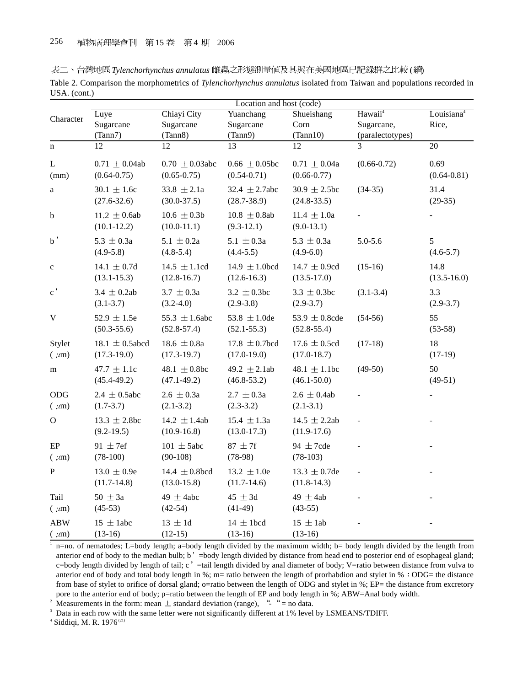|  | 表二、台灣地區 Tylenchorhynchus annulatus 雌蟲之形態測量値及其與在美國地區已記錄群之比較 (續) |
|--|----------------------------------------------------------------|
|  |                                                                |

| Table 2. Comparison the morphometrics of Tylenchorhynchus annulatus isolated from Taiwan and populations recorded in |  |  |  |
|----------------------------------------------------------------------------------------------------------------------|--|--|--|
| USA. (cont.)                                                                                                         |  |  |  |

| Location and host (code) |                     |                     |                    |                   |                     |                        |
|--------------------------|---------------------|---------------------|--------------------|-------------------|---------------------|------------------------|
|                          | Luye                | Chiayi City         | Yuanchang          | Shueishang        | Hawaii <sup>4</sup> | Louisiana <sup>4</sup> |
| Character                | Sugarcane           | Sugarcane           | Sugarcane          | Corn              | Sugarcane,          | Rice,                  |
|                          | (Tann7)             | (Tann8)             | (Tann9)            | (Tann10)          | (paralectotypes)    |                        |
| $\mathbf n$              | $\overline{12}$     | $\overline{12}$     | 13                 | $\overline{12}$   | 3                   | $\overline{20}$        |
| $\mathbf L$              | $0.71 \pm 0.04$ ab  | $0.70 \pm 0.03$ abc | $0.66 \pm 0.05$ bc | $0.71 \pm 0.04a$  | $(0.66 - 0.72)$     | 0.69                   |
| (mm)                     | $(0.64 - 0.75)$     | $(0.65 - 0.75)$     | $(0.54 - 0.71)$    | $(0.66 - 0.77)$   |                     | $(0.64 - 0.81)$        |
| $\mathbf{a}$             | $30.1 \pm 1.6c$     | $33.8 \pm 2.1a$     | 32.4 $\pm$ 2.7abc  | $30.9 \pm 2.5$ bc | $(34-35)$           | 31.4                   |
|                          | $(27.6 - 32.6)$     | $(30.0 - 37.5)$     | $(28.7 - 38.9)$    | $(24.8 - 33.5)$   |                     | $(29-35)$              |
| b                        | $11.2 \pm 0.6ab$    | $10.6 \pm 0.3b$     | $10.8 \pm 0.8$ ab  | $11.4 \pm 1.0a$   |                     |                        |
|                          | $(10.1 - 12.2)$     | $(10.0-11.1)$       | $(9.3-12.1)$       | $(9.0-13.1)$      |                     |                        |
| $_{\rm b}$               | $5.3 \pm 0.3a$      | 5.1 $\pm$ 0.2a      | 5.1 $\pm$ 0.3a     | 5.3 $\pm$ 0.3a    | $5.0 - 5.6$         | 5                      |
|                          | $(4.9-5.8)$         | $(4.8-5.4)$         | $(4.4 - 5.5)$      | $(4.9-6.0)$       |                     | $(4.6 - 5.7)$          |
| $\mathbf{C}$             | $14.1 \pm 0.7d$     | $14.5 \pm 1.1$ cd   | 14.9 $\pm$ 1.0bcd  | 14.7 $\pm$ 0.9cd  | $(15-16)$           | 14.8                   |
|                          | $(13.1 - 15.3)$     | $(12.8 - 16.7)$     | $(12.6 - 16.3)$    | $(13.5 - 17.0)$   |                     | $(13.5 - 16.0)$        |
| $\mathbf{c}$ ,           | $3.4 \pm 0.2$ ab    | $3.7 \pm 0.3a$      | $3.2 \pm 0.3$ bc   | $3.3 \pm 0.3$ bc  | $(3.1 - 3.4)$       | 3.3                    |
|                          | $(3.1 - 3.7)$       | $(3.2 - 4.0)$       | $(2.9-3.8)$        | $(2.9 - 3.7)$     |                     | $(2.9-3.7)$            |
| V                        | 52.9 $\pm$ 1.5e     | 55.3 $\pm$ 1.6abc   | 53.8 $\pm$ 1.0de   | 53.9 $\pm$ 0.8cde | $(54-56)$           | 55                     |
|                          | $(50.3 - 55.6)$     | $(52.8 - 57.4)$     | $(52.1 - 55.3)$    | $(52.8 - 55.4)$   |                     | $(53-58)$              |
| Stylet                   | $18.1 \pm 0.5$ abcd | $18.6 \pm 0.8a$     | $17.8 \pm 0.7$ bcd | $17.6 \pm 0.5$ cd | $(17-18)$           | 18                     |
| $(\mu m)$                | $(17.3 - 19.0)$     | $(17.3-19.7)$       | $(17.0 - 19.0)$    | $(17.0 - 18.7)$   |                     | $(17-19)$              |
| m                        | $47.7 \pm 1.1c$     | 48.1 $\pm$ 0.8bc    | 49.2 $\pm$ 2.1ab   | 48.1 $\pm$ 1.1bc  | $(49-50)$           | 50                     |
|                          | $(45.4 - 49.2)$     | $(47.1 - 49.2)$     | $(46.8 - 53.2)$    | $(46.1 - 50.0)$   |                     | $(49-51)$              |
| ODG                      | $2.4 \pm 0.5$ abc   | $2.6 \pm 0.3a$      | $2.7 \pm 0.3a$     | $2.6 \pm 0.4$ ab  |                     |                        |
| $(\mu m)$                | $(1.7 - 3.7)$       | $(2.1 - 3.2)$       | $(2.3-3.2)$        | $(2.1-3.1)$       |                     |                        |
| $\Omega$                 | $13.3 \pm 2.8$ bc   | 14.2 $\pm$ 1.4ab    | $15.4 \pm 1.3a$    | $14.5 \pm 2.2ab$  |                     |                        |
|                          | $(9.2 - 19.5)$      | $(10.9 - 16.8)$     | $(13.0-17.3)$      | $(11.9-17.6)$     |                     |                        |
| $\rm EP$                 | 91 $\pm$ 7ef        | $101 \pm 5$ abc     | $87 \pm 7f$        | 94 $\pm$ 7cde     |                     |                        |
| $(\mu m)$                | $(78-100)$          | $(90-108)$          | $(78-98)$          | $(78-103)$        |                     |                        |
| P                        | $13.0 \pm 0.9e$     | 14.4 $\pm$ 0.8bcd   | $13.2 \pm 1.0e$    | 13.3 $\pm$ 0.7de  |                     |                        |
|                          | $(11.7-14.8)$       | $(13.0 - 15.8)$     | $(11.7-14.6)$      | $(11.8-14.3)$     |                     |                        |
| Tail                     | $50 \pm 3a$         | 49 $\pm$ 4abc       | $45 \pm 3d$        | 49 $\pm$ 4ab      |                     |                        |
| $(\mu m)$                | $(45-53)$           | $(42-54)$           | $(41-49)$          | $(43-55)$         |                     |                        |
| <b>ABW</b>               | $15 \pm 1$ abc      | $13 \pm 1d$         | $14 \pm 1$ bcd     | $15 \pm 1ab$      |                     |                        |
| $(\mu m)$                | $(13-16)$           | $(12-15)$           | $(13-16)$          | $(13-16)$         |                     |                        |

<sup>1</sup> n=no. of nematodes; L=body length; a=body length divided by the maximum width; b= body length divided by the length from anterior end of body to the median bulb; b' =body length divided by distance from head end to posterior end of esophageal gland; c=body length divided by length of tail; c' =tail length divided by anal diameter of body; V=ratio between distance from vulva to anterior end of body and total body length in  $\%$ ; m= ratio between the length of prorhabdion and stylet in  $\%$  : ODG= the distance from base of stylet to orifice of dorsal gland; o=ratio between the length of ODG and stylet in %; EP= the distance from excretory pore to the anterior end of body; p=ratio between the length of EP and body length in %; ABW=Anal body width.<br><sup>2</sup> Measurements in the form: mean  $\pm$  standard deviation (range), "- " = no data.

<sup>3</sup> Data in each row with the same letter were not significantly different at 1% level by LSMEANS/TDIFF.

<sup>4</sup> Siddiqi, M. R. 1976<sup>(21)</sup>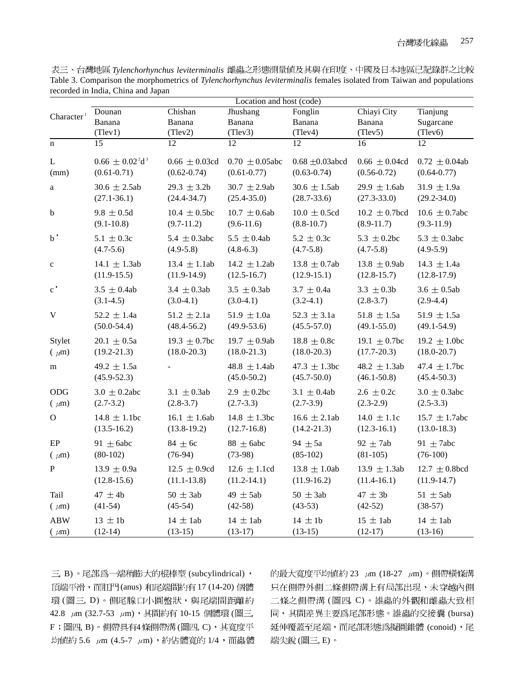|                        | Location and host (code)             |                    |                     |                      |                    |                    |  |
|------------------------|--------------------------------------|--------------------|---------------------|----------------------|--------------------|--------------------|--|
|                        | Dounan                               | Chishan            | Jhushang            | Fonglin              | Chiayi City        | Tianjung           |  |
| Character <sup>1</sup> | Banana                               | Banana             | Banana              | Banana               | Banana             | Sugarcane          |  |
|                        | (Tlev1)                              | (Tlev2)            | (Tlev3)             | (Tlev4)              | (Tlev5)            | (Tlev6)            |  |
| $\mathbf n$            | 15                                   | 12                 | 12                  | 12                   | 16                 | 12                 |  |
| L                      | $0.66 \pm 0.02^{\degree}d^{\degree}$ | $0.66 \pm 0.03$ cd | $0.70 \pm 0.05$ abc | $0.68 \pm 0.03$ abcd | $0.66 \pm 0.04$ cd | $0.72 \pm 0.04$ ab |  |
| (mm)                   | $(0.61 - 0.71)$                      | $(0.62 - 0.74)$    | $(0.61 - 0.77)$     | $(0.63 - 0.74)$      | $(0.56 - 0.72)$    | $(0.64 - 0.77)$    |  |
| $\rm{a}$               | $30.6 \pm 2.5$ ab                    | $29.3 \pm 3.2b$    | $30.7 \pm 2.9$ ab   | $30.6 \pm 1.5$ ab    | 29.9 $\pm$ 1.6ab   | $31.9 \pm 1.9a$    |  |
|                        | $(27.1 - 36.1)$                      | $(24.4 - 34.7)$    | $(25.4 - 35.0)$     | $(28.7 - 33.6)$      | $(27.3 - 33.0)$    | $(29.2 - 34.0)$    |  |
| b                      | $9.8 \pm 0.5d$                       | $10.4 \pm 0.5$ bc  | $10.7 \pm 0.6$ ab   | $10.0 \pm 0.5$ cd    | $10.2 \pm 0.7$ bcd | 10.6 $\pm$ 0.7abc  |  |
|                        | $(9.1 - 10.8)$                       | $(9.7-11.2)$       | $(9.6-11.6)$        | $(8.8 - 10.7)$       | $(8.9-11.7)$       | $(9.3-11.9)$       |  |
| $_{\rm b}$             | $5.1 \pm 0.3c$                       | 5.4 $\pm$ 0.3abc   | 5.5 $\pm$ 0.4ab     | $5.2 \pm 0.3c$       | 5.3 $\pm$ 0.2bc    | $5.3 \pm 0.3$ abc  |  |
|                        | $(4.7-5.6)$                          | $(4.9-5.8)$        | $(4.8-6.3)$         | $(4.7 - 5.8)$        | $(4.7 - 5.8)$      | $(4.9-5.9)$        |  |
| $\mathbf{C}$           | 14.1 $\pm$ 1.3ab                     | 13.4 $\pm$ 1.1ab   | 14.2 $\pm$ 1.2ab    | $13.8 \pm 0.7$ ab    | 13.8 $\pm$ 0.9ab   | 14.3 $\pm$ 1.4a    |  |
|                        | $(11.9-15.5)$                        | $(11.9-14.9)$      | $(12.5 - 16.7)$     | $(12.9-15.1)$        | $(12.8 - 15.7)$    | $(12.8-17.9)$      |  |
| $\mathbf{c}$ ,         | $3.5 \pm 0.4ab$                      | 3.4 $\pm$ 0.3ab    | $3.5 \pm 0.3$ ab    | $3.7 \pm 0.4a$       | $3.3 \pm 0.3b$     | $3.6 \pm 0.5$ ab   |  |
|                        | $(3.1-4.5)$                          | $(3.0-4.1)$        | $(3.0-4.1)$         | $(3.2-4.1)$          | $(2.8-3.7)$        | $(2.9-4.4)$        |  |
| V                      | $52.2 \pm 1.4a$                      | $51.2 \pm 2.1a$    | $51.9 \pm 1.0a$     | 52.3 $\pm$ 3.1a      | $51.8 \pm 1.5a$    | 51.9 $\pm$ 1.5a    |  |
|                        | $(50.0 - 54.4)$                      | $(48.4 - 56.2)$    | $(49.9 - 53.6)$     | $(45.5 - 57.0)$      | $(49.1 - 55.0)$    | $(49.1 - 54.9)$    |  |
| Stylet                 | $20.1 \pm 0.5a$                      | 19.3 $\pm$ 0.7bc   | 19.7 $\pm$ 0.9ab    | $18.8 \pm 0.8c$      | 19.1 $\pm$ 0.7bc   | 19.2 $\pm$ 1.0bc   |  |
| $(\mu m)$              | $(19.2 - 21.3)$                      | $(18.0 - 20.3)$    | $(18.0 - 21.3)$     | $(18.0 - 20.3)$      | $(17.7 - 20.3)$    | $(18.0 - 20.7)$    |  |
| m                      | 49.2 $\pm$ 1.5a                      |                    | 48.8 $\pm$ 1.4ab    | $47.3 \pm 1.3$ bc    | 48.2 $\pm$ 1.3ab   | 47.4 $\pm$ 1.7bc   |  |
|                        | $(45.9 - 52.3)$                      |                    | $(45.0 - 50.2)$     | $(45.7 - 50.0)$      | $(46.1 - 50.8)$    | $(45.4 - 50.3)$    |  |
| ODG                    | $3.0 \pm 0.2$ abc                    | 3.1 $\pm$ 0.3ab    | $2.9 \pm 0.2$ bc    | 3.1 $\pm$ 0.4ab      | $2.6 \pm 0.2c$     | $3.0 \pm 0.3$ abc  |  |
| $(\mu m)$              | $(2.7-3.2)$                          | $(2.8-3.7)$        | $(2.7-3.3)$         | $(2.7-3.9)$          | $(2.3-2.9)$        | $(2.5-3.3)$        |  |
| $\mathbf{O}$           | $14.8 \pm 1.1$ bc                    | 16.1 $\pm$ 1.6ab   | 14.8 $\pm$ 1.3bc    | $16.6 \pm 2.1$ ab    | 14.0 $\pm$ 1.1c    | 15.7 $\pm$ 1.7abc  |  |
|                        | $(13.5 - 16.2)$                      | $(13.8-19.2)$      | $(12.7 - 16.8)$     | $(14.2 - 21.3)$      | $(12.3 - 16.1)$    | $(13.0 - 18.3)$    |  |
| EP                     | 91 $\pm$ 6abc                        | $84 \pm 6c$        | $88 \pm 6abc$       | 94 $\pm$ 5a          | 92 $\pm$ 7ab       | 91 $\pm$ 7abc      |  |
| $(\mu m)$              | $(80-102)$                           | $(76-94)$          | $(73-98)$           | $(85-102)$           | $(81-105)$         | $(76-100)$         |  |
| $\mathbf P$            | $13.9 \pm 0.9a$                      | $12.5 \pm 0.9$ cd  | $12.6 \pm 1.1$ cd   | $13.8 \pm 1.0$ ab    | 13.9 $\pm$ 1.3ab   | $12.7 \pm 0.8$ bcd |  |
|                        | $(12.8-15.6)$                        | $(11.1 - 13.8)$    | $(11.2 - 14.1)$     | $(11.9-16.2)$        | $(11.4 - 16.1)$    | $(11.9-14.7)$      |  |
| Tail                   | 47 $\pm$ 4b                          | $50 \pm 3ab$       | 49 $\pm$ 5ab        | $50 \pm 3ab$         | $47 \pm 3b$        | $51 \pm 5ab$       |  |
| $(\mu m)$              | $(41-54)$                            | $(45-54)$          | $(42-58)$           | $(43-53)$            | $(42-52)$          | $(38-57)$          |  |
| <b>ABW</b>             | $13 \pm 1b$                          | $14 \pm 1ab$       | $14 \pm 1ab$        | $14 \pm 1b$          | $15 \pm 1ab$       | $14 \pm 1ab$       |  |
| $(\mu m)$              | $(12-14)$                            | $(13-15)$          | $(13-17)$           | $(13-15)$            | $(12-17)$          | $(13-16)$          |  |

表三、台灣地區 Tylenchorhynchus leviterminalis 雌蟲之形態測量値及其與在印度、中國及日本地區已記錄群之比較 Table 3. Comparison the morphometrics of *Tylenchorhynchus leviterminalis* females isolated from Taiwan and populations recorded in India, China and Japan

三, B)。尾部為一端稍膨大的棍棒型 (subcylindrical), [頂端平滑,而肛門(anus) 和尾端間約有 17 (14-20) 個體 環(圖三, D)。側尾腺口小圓盤狀,與尾端間距離約 42.8 μm (32.7-53 μm), 其間約有 10-15 個體環 (圖三,  $F$ ; 圖四,  $B$ ) 。側帶具有4條側帶溝(圖四,  $C$ ) , 其寬度平 均值約 5.6 μm (4.5-7 μm),約佔體寬的 1/4,而蟲體 的最大寬度平均値約 23 μm  $(18-27 \mu m)$ 。側帶橫條溝 只在側帶外側二條側帶溝上有局部出現,未穿越內側 二條之側帶溝(圖四,C)。雄蟲的外觀和雌蟲大致相 同, 其間差異主要為尾部形態。雄蟲的交接囊 (bursa) 延伸覆蓋至尾端,而尾部形態為擬圓錐體 (conoid),尾 端尖銳 (圖三, E)。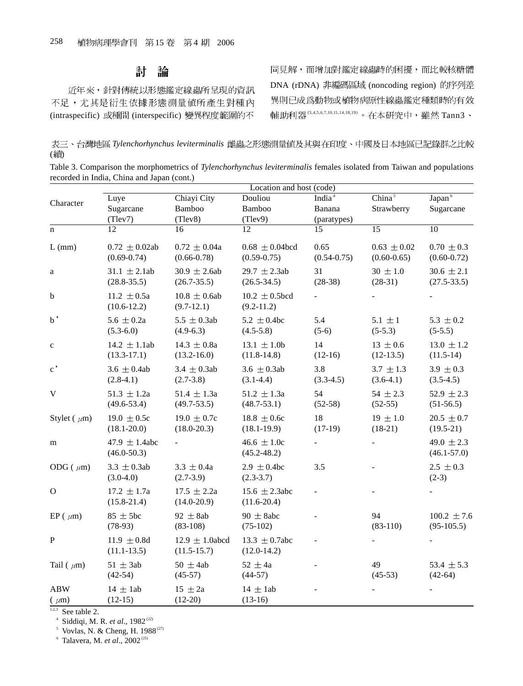#### 討 論

近年來,針對傳統以形態鑑定線蟲所呈現的資訊 不足,尤其是衍生依據形態測量值所產生對種內 (intraspecific) 或種間 (interspecific) 變異程度範圍的不 同見解,而增加對鑑定線蟲時的困擾,而比較核糖體 DNA (rDNA) 非編碼區域 (noncoding region) 的序列差 異則已成爲動物或植物病原性線蟲鑑定種類時的有效 輔助利器(3,4,5,6,7,10,11,14,18,19) 。在本研究中,雖然 Tann3、

表三、台灣地區 Tylenchorhynchus leviterminalis 雌蟲之形態測量値及其與在印度、中國及日本地區已記錄群之比較 (續)

| Table 3. Comparison the morphometrics of Tylenchorhynchus leviterminalis females isolated from Taiwan and populations |  |  |  |
|-----------------------------------------------------------------------------------------------------------------------|--|--|--|
| recorded in India, China and Japan (cont.)                                                                            |  |  |  |

|                         | Location and host (code)              |                                        |                                        |                              |                                    |                                   |  |
|-------------------------|---------------------------------------|----------------------------------------|----------------------------------------|------------------------------|------------------------------------|-----------------------------------|--|
| Character               | Luye<br>Sugarcane                     | Chiayi City<br>Bamboo                  | Douliou<br>Bamboo                      | India <sup>4</sup><br>Banana | China <sup>5</sup><br>Strawberry   | Japan <sup>6</sup><br>Sugarcane   |  |
|                         | (Tlev7)                               | (Tlev8)                                | (Tlev9)                                | (paratypes)                  |                                    |                                   |  |
| $\mathbf n$             | $\overline{12}$                       | $\overline{16}$                        | 12                                     | $\overline{15}$              | $\overline{15}$                    | $\overline{10}$                   |  |
| $L$ (mm)                | $0.72 \pm 0.02$ ab<br>$(0.69 - 0.74)$ | $0.72 \pm 0.04a$<br>$(0.66 - 0.78)$    | $0.68 \pm 0.04$ bcd<br>$(0.59 - 0.75)$ | 0.65<br>$(0.54 - 0.75)$      | $0.63 \pm 0.02$<br>$(0.60 - 0.65)$ | $0.70 \pm 0.3$<br>$(0.60 - 0.72)$ |  |
| $\rm{a}$                | $31.1 \pm 2.1$ ab<br>$(28.8 - 35.5)$  | $30.9 \pm 2.6ab$<br>$(26.7 - 35.5)$    | 29.7 $\pm$ 2.3ab<br>$(26.5 - 34.5)$    | 31<br>$(28-38)$              | $30 \pm 1.0$<br>$(28-31)$          | $30.6 \pm 2.1$<br>$(27.5 - 33.5)$ |  |
| b                       | 11.2 $\pm$ 0.5a<br>$(10.6 - 12.2)$    | $10.8 \pm 0.6$ ab<br>$(9.7-12.1)$      | $10.2 \pm 0.5$ bcd<br>$(9.2 - 11.2)$   |                              |                                    |                                   |  |
| $_{\rm b}$ ,            | 5.6 $\pm$ 0.2a<br>$(5.3-6.0)$         | $5.5 \pm 0.3$ ab<br>$(4.9-6.3)$        | $5.2 \pm 0.4$ bc<br>$(4.5-5.8)$        | 5.4<br>$(5-6)$               | $5.1 \pm 1$<br>$(5-5.3)$           | 5.3 $\pm$ 0.2<br>$(5-5.5)$        |  |
| $\mathbf{C}$            | 14.2 $\pm$ 1.1ab<br>$(13.3-17.1)$     | $14.3 \pm 0.8a$<br>$(13.2 - 16.0)$     | 13.1 $\pm$ 1.0b<br>$(11.8-14.8)$       | 14<br>$(12-16)$              | $13 \pm 0.6$<br>$(12-13.5)$        | $13.0 \pm 1.2$<br>$(11.5-14)$     |  |
| $\mathbf{c}$ ,          | $3.6 \pm 0.4$ ab<br>$(2.8-4.1)$       | $3.4 \pm 0.3$ ab<br>$(2.7-3.8)$        | 3.6 $\pm$ 0.3ab<br>$(3.1-4.4)$         | 3.8<br>$(3.3-4.5)$           | $3.7 \pm 1.3$<br>$(3.6-4.1)$       | 3.9 $\pm$ 0.3<br>$(3.5-4.5)$      |  |
| $\mathbf V$             | $51.3 \pm 1.2a$<br>$(49.6 - 53.4)$    | $51.4 \pm 1.3a$<br>$(49.7 - 53.5)$     | $51.2 \pm 1.3a$<br>$(48.7 - 53.1)$     | 54<br>$(52-58)$              | $54 \pm 2.3$<br>$(52-55)$          | 52.9 $\pm$ 2.3<br>$(51-56.5)$     |  |
| Stylet ( $\mu$ m)       | $19.0 \pm 0.5c$<br>$(18.1 - 20.0)$    | $19.0 \pm 0.7c$<br>$(18.0 - 20.3)$     | $18.8 \pm 0.6c$<br>$(18.1 - 19.9)$     | 18<br>$(17-19)$              | $19 \pm 1.0$<br>$(18-21)$          | $20.5 \pm 0.7$<br>$(19.5-21)$     |  |
| m                       | 47.9 $\pm$ 1.4abc<br>$(46.0 - 50.3)$  |                                        | 46.6 $\pm 1.0c$<br>$(45.2 - 48.2)$     |                              |                                    | 49.0 $\pm$ 2.3<br>$(46.1 - 57.0)$ |  |
| ODG ( $\mu$ m)          | $3.3 \pm 0.3$ ab<br>$(3.0-4.0)$       | $3.3 \pm 0.4a$<br>$(2.7-3.9)$          | $2.9 \pm 0.4$ bc<br>$(2.3-3.7)$        | 3.5                          |                                    | $2.5 \pm 0.3$<br>$(2-3)$          |  |
| $\mathbf{O}$            | $17.2 \pm 1.7a$<br>$(15.8 - 21.4)$    | $17.5 \pm 2.2a$<br>$(14.0 - 20.9)$     | 15.6 $\pm$ 2.3abc<br>$(11.6 - 20.4)$   |                              |                                    |                                   |  |
| $EP(\mu m)$             | $85 \pm 5$ bc<br>$(78-93)$            | 92 $\pm$ 8ab<br>$(83-108)$             | $90 \pm 8$ abc<br>$(75-102)$           | L.                           | 94<br>$(83-110)$                   | $100.2 \pm 7.6$<br>$(95-105.5)$   |  |
| ${\bf P}$               | 11.9 $\pm$ 0.8d<br>$(11.1 - 13.5)$    | $12.9 \pm 1.0$ abcd<br>$(11.5 - 15.7)$ | 13.3 $\pm$ 0.7abc<br>$(12.0-14.2)$     |                              |                                    |                                   |  |
| Tail ( $\mu$ m)         | $51 \pm 3ab$<br>$(42-54)$             | $50 \pm 4ab$<br>$(45-57)$              | $52 \pm 4a$<br>$(44-57)$               |                              | 49<br>$(45-53)$                    | 53.4 $\pm$ 5.3<br>$(42-64)$       |  |
| <b>ABW</b><br>$(\mu m)$ | $14 \pm 1ab$<br>$(12-15)$             | $15 \pm 2a$<br>$(12-20)$               | $14 \pm 1ab$<br>$(13-16)$              |                              |                                    |                                   |  |

 $1,2,3$  See table 2.

<sup>4</sup> Siddiqi, M. R. *et al.*, 1982<sup>(22)</sup>

<sup>5</sup> Vovlas, N. & Cheng, H. 1988<sup>(27)</sup>

<sup>6</sup> Talavera, M. *et al.*, 2002<sup>(25)</sup>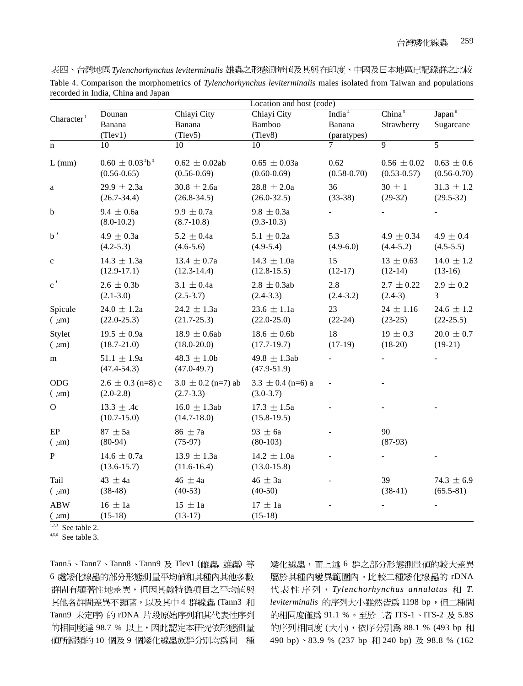| 表四、台灣地區 Tylenchorhynchus leviterminalis 雄蟲之形態測量値及其與在印度、中國及日本地區已記錄群之比較                                                                                     |  |
|-----------------------------------------------------------------------------------------------------------------------------------------------------------|--|
| Table 4. Comparison the morphometrics of Tylenchorhynchus leviterminalis males isolated from Taiwan and populations<br>recorded in India, China and Japan |  |

|                         | Dounan                                   | Chiayi City                           | Location and host (code)<br>Chiayi City | India <sup>4</sup>      | China <sup>5</sup>                 | Japan <sup>6</sup>                |
|-------------------------|------------------------------------------|---------------------------------------|-----------------------------------------|-------------------------|------------------------------------|-----------------------------------|
| Character <sup>1</sup>  | Banana                                   | Banana                                | Bamboo                                  | Banana                  | Strawberry                         | Sugarcane                         |
|                         | (Tlev1)                                  | (Tlev5)                               | (Tlev8)                                 | (paratypes)             |                                    |                                   |
| $\mathbf n$             | 10                                       | 10                                    | 10                                      | 7                       | $\overline{9}$                     | 5                                 |
| $L$ (mm)                | $0.60 \pm 0.03^2 b^3$<br>$(0.56 - 0.65)$ | $0.62 \pm 0.02$ ab<br>$(0.56 - 0.69)$ | $0.65 \pm 0.03a$<br>$(0.60 - 0.69)$     | 0.62<br>$(0.58 - 0.70)$ | $0.56 \pm 0.02$<br>$(0.53 - 0.57)$ | $0.63 \pm 0.6$<br>$(0.56 - 0.70)$ |
| $\rm{a}$                | $29.9 \pm 2.3a$<br>$(26.7 - 34.4)$       | $30.8 \pm 2.6a$<br>$(26.8 - 34.5)$    | $28.8 \pm 2.0a$<br>$(26.0 - 32.5)$      | 36<br>$(33-38)$         | $30 \pm 1$<br>$(29-32)$            | $31.3 \pm 1.2$<br>$(29.5-32)$     |
| $\mathbf b$             | $9.4 \pm 0.6a$<br>$(8.0-10.2)$           | $9.9 \pm 0.7a$<br>$(8.7 - 10.8)$      | $9.8 \pm 0.3a$<br>$(9.3-10.3)$          |                         |                                    |                                   |
| $_{\rm b}$ ,            | $4.9 \pm 0.3a$<br>$(4.2 - 5.3)$          | $5.2 \pm 0.4a$<br>$(4.6-5.6)$         | 5.1 $\pm$ 0.2a<br>$(4.9-5.4)$           | 5.3<br>$(4.9-6.0)$      | 4.9 $\pm$ 0.34<br>$(4.4 - 5.2)$    | $4.9 \pm 0.4$<br>$(4.5 - 5.5)$    |
| $\mathbf{C}$            | $14.3 \pm 1.3a$<br>$(12.9-17.1)$         | $13.4 \pm 0.7a$<br>$(12.3-14.4)$      | $14.3 \pm 1.0a$<br>$(12.8-15.5)$        | 15<br>$(12-17)$         | $13 \pm 0.63$<br>$(12-14)$         | $14.0 \pm 1.2$<br>$(13-16)$       |
| $\mathbf{c}$ ,          | $2.6 \pm 0.3b$<br>$(2.1 - 3.0)$          | $3.1 \pm 0.4a$<br>$(2.5-3.7)$         | $2.8 \pm 0.3$ ab<br>$(2.4-3.3)$         | 2.8<br>$(2.4-3.2)$      | $2.7 \pm 0.22$<br>$(2.4-3)$        | $2.9 \pm 0.2$<br>3                |
| Spicule<br>$(\mu m)$    | $24.0 \pm 1.2a$<br>$(22.0 - 25.3)$       | $24.2 \pm 1.3a$<br>$(21.7 - 25.3)$    | $23.6 \pm 1.1a$<br>$(22.0 - 25.0)$      | 23<br>$(22-24)$         | $24 \pm 1.16$<br>$(23-25)$         | $24.6 \pm 1.2$<br>$(22-25.5)$     |
| Stylet<br>$(\mu m)$     | $19.5 \pm 0.9a$<br>$(18.7 - 21.0)$       | 18.9 $\pm$ 0.6ab<br>$(18.0 - 20.0)$   | 18.6 $\pm$ 0.6b<br>$(17.7-19.7)$        | 18<br>$(17-19)$         | $19 \pm 0.3$<br>$(18-20)$          | $20.0 \pm 0.7$<br>$(19-21)$       |
| m                       | $51.1 \pm 1.9a$<br>$(47.4 - 54.3)$       | $48.3 \pm 1.0$ b<br>$(47.0 - 49.7)$   | 49.8 $\pm$ 1.3ab<br>$(47.9 - 51.9)$     |                         |                                    |                                   |
| ODG<br>$(\mu m)$        | $2.6 \pm 0.3$ (n=8) c<br>$(2.0-2.8)$     | $3.0 \pm 0.2$ (n=7) ab<br>$(2.7-3.3)$ | $3.3 \pm 0.4$ (n=6) a<br>$(3.0-3.7)$    |                         |                                    |                                   |
| $\mathbf{O}$            | 13.3 $\pm$ .4c<br>$(10.7 - 15.0)$        | $16.0 \pm 1.3$ ab<br>$(14.7 - 18.0)$  | $17.3 \pm 1.5a$<br>$(15.8-19.5)$        |                         |                                    |                                   |
| EP<br>$(\mu m)$         | $87 \pm 5a$<br>$(80-94)$                 | $86 \pm 7a$<br>$(75-97)$              | $93 \pm 6a$<br>$(80-103)$               |                         | 90<br>$(87-93)$                    |                                   |
| $\mathbf{P}$            | $14.6 \pm 0.7a$<br>$(13.6 - 15.7)$       | $13.9 \pm 1.3a$<br>$(11.6 - 16.4)$    | $14.2 \pm 1.0a$<br>$(13.0 - 15.8)$      |                         |                                    |                                   |
| Tail<br>$(\mu m)$       | 43 $\pm$ 4a<br>$(38-48)$                 | 46 $\pm$ 4a<br>$(40-53)$              | $46 \pm 3a$<br>$(40-50)$                |                         | 39<br>$(38-41)$                    | $74.3 \pm 6.9$<br>$(65.5-81)$     |
| <b>ABW</b><br>$(\mu m)$ | $16 \pm 1a$<br>$(15-18)$                 | $15 \pm 1a$<br>$(13-17)$              | $17 \pm 1a$<br>$(15-18)$                |                         |                                    |                                   |

 $1,2,3$  See table 2.

 $4,5,6$  See table 3.

Tann5、Tann7、Tann8、Tann9 及 Tlev1 (雌蟲, 雄蟲) 等 6 處矮化線蟲的部分形態測量平均値和其種內其他多數 群間有顯著性地差異,但因其餘特徵項目之平均值與 其他各群間差異不顯著,以及其中4群線蟲 (Tann3 和 Tann9 未定序) 的 rDNA 片段原始序列和其代表性序列 的相同度達 98.7 % 以上,因此認定本研究依形態測量 值所歸類的 10 個及 9 個矮化線蟲族群分別均為同一種 矮化線蟲,而上述6群之部分形態測量值的較大差異 屬於其種內變異範圍內。比較二種矮化線蟲的 rDNA *Tylenchorhynchus annulatus T.* leviterminalis 的序列大小雖然皆爲 1198 bp,但二種間 的相同度僅為 91.1 % 。至於二者 ITS-1、ITS-2 及 5.8S 的序列相同度 (大小), 依序分別為 88.1 % (493 bp 和 490 bp) 83.9 % (237 bp 和 240 bp) 及 98.8 % (162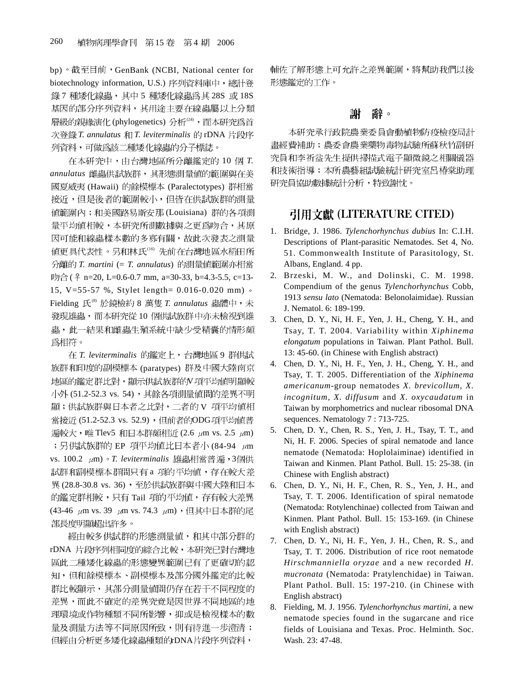bp)。截至目前, GenBank (NCBI, National center for biotechnology information, U.S.) 序列資料庫中, 總計登 錄 7 種矮化線蟲, 其中 5 種矮化線蟲為其 28S 或 18S 基因的部分序列資料,其用途主要在線蟲屬以上分類 層級的親緣演化(phylogenetics) 分析<sup>(24)</sup>, 而本研究為首 次登錄 T. annulatus 和 T. leviterminalis 的 rDNA 片段序 列資料,可做爲該二種矮化線蟲的分子標誌。

在本研究中,由台灣地區所分離鑑定的 10個 T. *annulatus*  國夏威夷 (Hawaii) 的餘模標本 (Paralectotypes) 群相當 接近,但是後者的範圍較小,但皆在供試族群的測量 值範圍內;和美國路易斯安那(Louisiana) 群的各項測 量平均值相較,本研究所測數據與之更為吻合,其原 因可能和線蟲樣本數的多寡有關,故此次發表之測量 值更具代表性。另和林氏<sup>16</sup>先前在台灣地區水稻田所 *T. martini* (= *T. annulatus*)  $\mathbb{W}\triangle$  (  $\text{\textdegree{}}$  n=20, L=0.6-0.7 mm, a=30-33, b=4.3-5.5, c=13-15, V=55-57 %, Stylet length= 0.016-0.020 mm) Fielding 氏<sup>®</sup> 於鏡檢約 8 萬隻 T. annulatus 蟲體中,未 發現雄蟲,而本研究從10個供試族群中亦未檢視到雄 蟲,此一結果和雌蟲生殖系統中缺少受精囊的情形頗 為相符。

在 T. leviterminalis 的鑑定上, 台灣地區 9 群供試 族群和印度的副模標本 (paratypes) 群及中國大陸南京 地區的鑑定群比對,顯示供試族群的V項平均值明顯較 小外 (51.2-52.3 vs. 54), 其餘各項測量值間的差異不明 顯;供試族群與日本者之比對,二者的 V 項平均值相 當接近 (51.2-52.3 vs. 52.9), 但前者的ODG項平均值普 遍較大,唯 Tlev5 和日本群頗相近 (2.6 μm vs. 2.5 μm) ;另供試族群的 EP 項平均値比日本者小 (84-94 µm vs. 100.2 μm) · T. leviterminalis 雄蟲相當普遍, 3個供 試群和副模標本群間只有 a 項的平均値,存在較大差 異(28.8-30.8 vs. 36),至於供試族群與中國大陸和日本 的鑑定群相較,只有 Tail 項的平均值,存有較大差異 (43-46 μm vs. 39 μm vs. 74.3 μm), 但其中日本群的尾 部長度明顯超出許多。

經由較多供試群的形態測量值,和其中部分群的 rDNA 片段序列相同度的綜合比較,本研究已對台灣地 區此二種矮化線蟲的形態變異範圍已有了更確切的認 知,但和餘模標本、副模標本及部分國外鑑定的比較 群比較顯示, 其部分測量值間仍存在若干不同程度的 差異,而此不確定的差異究竟是因世界不同地區的地 理環境或作物種類不同所影響,抑或是檢視樣本的數 量及測量方法等不同原因所致,則有待進一步澄清; 但經由分析更多矮化線蟲種類的rDNA片段序列資料,

輔佐了解形態上可允許之差異範圍,將幫助我們以後 形態鑑定的工作。

#### 謝 辭。

本研究承行政院農業委員會動植物防疫檢疫局計 畫經費補助;農委會農業藥物毒物試驗所蘇秋竹副研 究員和李祈益先生提供掃描式電子顯微鏡之相關儀器 和技術指導;本所農藝組試驗統計研究室呂椿棠助理 研究員協助數據統計分析,特致謝忱。

## 引用文獻 (LITERATURE CITED)

- 1. Bridge, J. 1986. *Tylenchorhynchus dubius* In: C.I.H. Descriptions of Plant-parasitic Nematodes. Set 4, No. 51. Commonwealth Institute of Parasitology, St. Albans, England. 4 pp.
- 2. Brzeski, M. W., and Dolinski, C. M. 1998. Compendium of the genus *Tylenchorhynchus* Cobb, 1913 *sensu lato* (Nematoda: Belonolaimidae). Russian J. Nematol. 6: 189-199.
- 3. Chen, D. Y., Ni, H. F., Yen, J. H., Cheng, Y. H., and Tsay, T. T. 2004. Variability within *Xiphinema elongatum* populations in Taiwan. Plant Pathol. Bull. 13: 45-60. (in Chinese with English abstract)
- 4. Chen, D. Y., Ni, H. F., Yen, J. H., Cheng, Y. H., and Tsay, T. T. 2005. Differentiation of the *Xiphinema americanum*-group nematodes *X. brevicollum*, *X. incognitum*, *X. diffusum* and *X. oxycaudatum* in Taiwan by morphometrics and nuclear ribosomal DNA sequences. Nematology 7 : 713-725.
- 5. Chen, D. Y., Chen, R. S., Yen, J. H., Tsay, T. T., and Ni, H. F. 2006. Species of spiral nematode and lance nematode (Nematoda: Hoplolaiminae) identified in Taiwan and Kinmen. Plant Pathol. Bull. 15: 25-38. (in Chinese with English abstract)
- 6. Chen, D. Y., Ni, H. F., Chen, R. S., Yen, J. H., and Tsay, T. T. 2006. Identification of spiral nematode (Nematoda: Rotylenchinae) collected from Taiwan and Kinmen. Plant Pathol. Bull. 15: 153-169. (in Chinese with English abstract)
- 7. Chen, D. Y., Ni, H. F., Yen, J. H., Chen, R. S., and Tsay, T. T. 2006. Distribution of rice root nematode *Hirschmanniella oryzae* and a new recorded *H. mucronata* (Nematoda: Pratylenchidae) in Taiwan. Plant Pathol. Bull. 15: 197-210. (in Chinese with English abstract)
- 8. Fielding, M. J. 1956. *Tylenchorhynchus martini*, a new nematode species found in the sugarcane and rice fields of Louisiana and Texas. Proc. Helminth. Soc. Wash. 23: 47-48.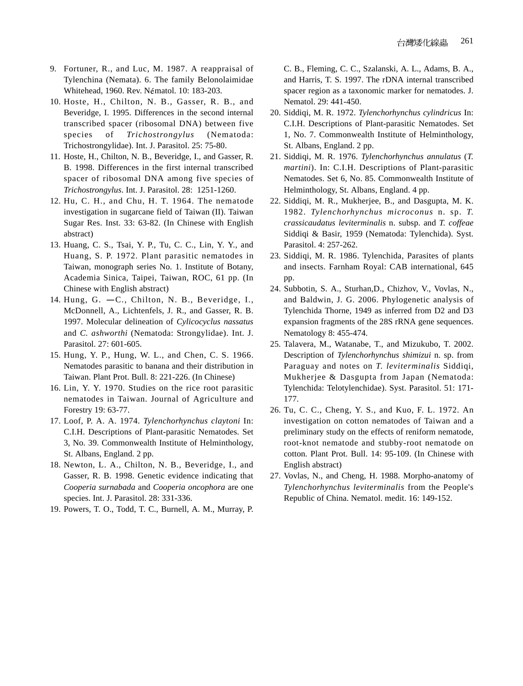- 9. Fortuner, R., and Luc, M. 1987. A reappraisal of Tylenchina (Nemata). 6. The family Belonolaimidae Whitehead, 1960. Rev. Nématol. 10: 183-203.
- 10. Hoste, H., Chilton, N. B., Gasser, R. B., and Beveridge, I. 1995. Differences in the second internal transcribed spacer (ribosomal DNA) between five species of *Trichostrongylus* (Nematoda: Trichostrongylidae). Int. J. Parasitol. 25: 75-80.
- 11. Hoste, H., Chilton, N. B., Beveridge, I., and Gasser, R. B. 1998. Differences in the first internal transcribed spacer of ribosomal DNA among five species of *Trichostrongylus*. Int. J. Parasitol. 28: 1251-1260.
- 12. Hu, C. H., and Chu, H. T. 1964. The nematode investigation in sugarcane field of Taiwan (II). Taiwan Sugar Res. Inst. 33: 63-82. (In Chinese with English abstract)
- 13. Huang, C. S., Tsai, Y. P., Tu, C. C., Lin, Y. Y., and Huang, S. P. 1972. Plant parasitic nematodes in Taiwan, monograph series No. 1. Institute of Botany, Academia Sinica, Taipei, Taiwan, ROC, 61 pp. (In Chinese with English abstract)
- 14. Hung, G.  $-C$ ., Chilton, N. B., Beveridge, I., McDonnell, A., Lichtenfels, J. R., and Gasser, R. B. 1997. Molecular delineation of *Cylicocyclus nassatus* and *C. ashworthi* (Nematoda: Strongylidae). Int. J. Parasitol. 27: 601-605.
- 15. Hung, Y. P., Hung, W. L., and Chen, C. S. 1966. Nematodes parasitic to banana and their distribution in Taiwan. Plant Prot. Bull. 8: 221-226. (In Chinese)
- 16. Lin, Y. Y. 1970. Studies on the rice root parasitic nematodes in Taiwan. Journal of Agriculture and Forestry 19: 63-77.
- 17. Loof, P. A. A. 1974. *Tylenchorhynchus claytoni* In: C.I.H. Descriptions of Plant-parasitic Nematodes. Set 3, No. 39. Commonwealth Institute of Helminthology, St. Albans, England. 2 pp.
- 18. Newton, L. A., Chilton, N. B., Beveridge, I., and Gasser, R. B. 1998. Genetic evidence indicating that *Cooperia surnabada* and *Cooperia oncophora* are one species. Int. J. Parasitol. 28: 331-336.
- 19. Powers, T. O., Todd, T. C., Burnell, A. M., Murray, P.

C. B., Fleming, C. C., Szalanski, A. L., Adams, B. A., and Harris, T. S. 1997. The rDNA internal transcribed spacer region as a taxonomic marker for nematodes. J. Nematol. 29: 441-450.

- 20. Siddiqi, M. R. 1972. *Tylenchorhynchus cylindricus* In: C.I.H. Descriptions of Plant-parasitic Nematodes. Set 1, No. 7. Commonwealth Institute of Helminthology, St. Albans, England. 2 pp.
- 21. Siddiqi, M. R. 1976. *Tylenchorhynchus annulatus* (*T. martini*). In: C.I.H. Descriptions of Plant-parasitic Nematodes. Set 6, No. 85. Commonwealth Institute of Helminthology, St. Albans, England. 4 pp.
- 22. Siddiqi, M. R., Mukherjee, B., and Dasgupta, M. K. 1982. *Tylenchorhynchus microconus* n. sp. *T. crassicaudatus leviterminalis* n. subsp. and *T. coffeae* Siddiqi & Basir, 1959 (Nematoda: Tylenchida). Syst. Parasitol. 4: 257-262.
- 23. Siddiqi, M. R. 1986. Tylenchida, Parasites of plants and insects. Farnham Royal: CAB international, 645 pp.
- 24. Subbotin, S. A., Sturhan,D., Chizhov, V., Vovlas, N., and Baldwin, J. G. 2006. Phylogenetic analysis of Tylenchida Thorne, 1949 as inferred from D2 and D3 expansion fragments of the 28S rRNA gene sequences. Nematology 8: 455-474.
- 25. Talavera, M., Watanabe, T., and Mizukubo, T. 2002. Description of *Tylenchorhynchus shimizui* n. sp. from Paraguay and notes on *T. leviterminalis* Siddiqi, Mukherjee & Dasgupta from Japan (Nematoda: Tylenchida: Telotylenchidae). Syst. Parasitol. 51: 171- 177.
- 26. Tu, C. C., Cheng, Y. S., and Kuo, F. L. 1972. An investigation on cotton nematodes of Taiwan and a preliminary study on the effects of reniform nematode, root-knot nematode and stubby-root nematode on cotton. Plant Prot. Bull. 14: 95-109. (In Chinese with English abstract)
- 27. Vovlas, N., and Cheng, H. 1988. Morpho-anatomy of *Tylenchorhynchus leviterminalis* from the People's Republic of China. Nematol. medit. 16: 149-152.